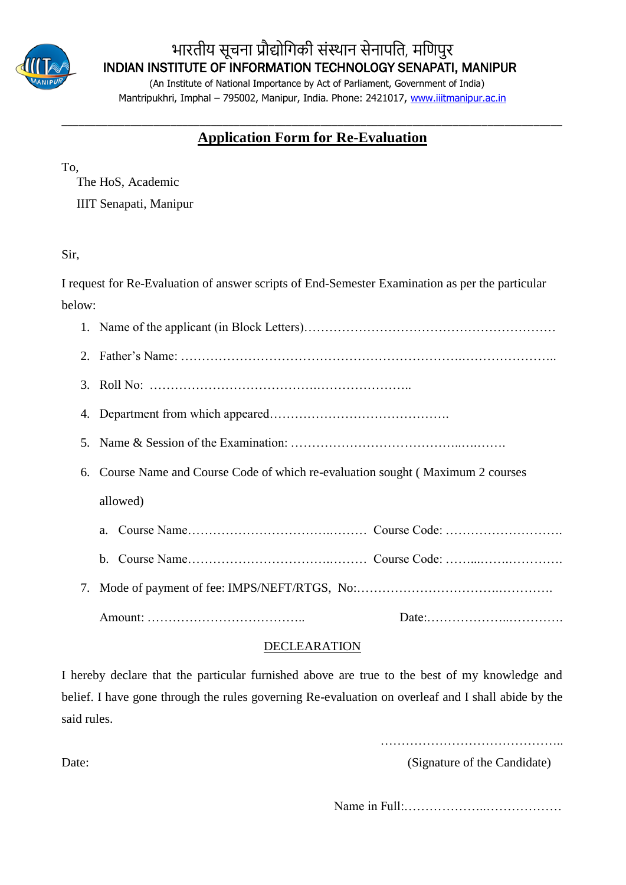

# भारतीय सूचना प्रौद्योगिकी संस्थान सेनापति, मणिपुर INDIAN INSTITUTE OF INFORMATION TECHNOLOGY SENAPATI, MANIPUR

(An Institute of National Importance by Act of Parliament, Government of India) Mantripukhri, Imphal - 795002, Manipur, India. Phone: 2421017, www.iiitmanipur.ac.in

### \_\_\_\_\_\_\_\_\_\_\_\_\_\_\_\_\_\_\_\_\_\_\_\_\_\_\_\_\_\_\_\_\_\_\_\_\_\_\_\_\_\_\_\_\_\_\_\_\_\_\_\_\_\_\_\_\_\_\_\_\_\_\_\_\_\_\_\_\_\_\_\_\_\_\_\_\_\_\_\_\_\_\_\_\_\_\_ **Application Form for Re-Evaluation**

To,

The HoS, Academic

IIIT Senapati, Manipur

Sir,

I request for Re-Evaluation of answer scripts of End-Semester Examination as per the particular below:

| 6. Course Name and Course Code of which re-evaluation sought (Maximum 2 courses |
|---------------------------------------------------------------------------------|
| allowed)                                                                        |
| a.                                                                              |
|                                                                                 |
|                                                                                 |
|                                                                                 |

## DECLEARATION

I hereby declare that the particular furnished above are true to the best of my knowledge and belief. I have gone through the rules governing Re-evaluation on overleaf and I shall abide by the said rules.

……………………………………..

Date: (Signature of the Candidate)

Name in Full:………………..………………